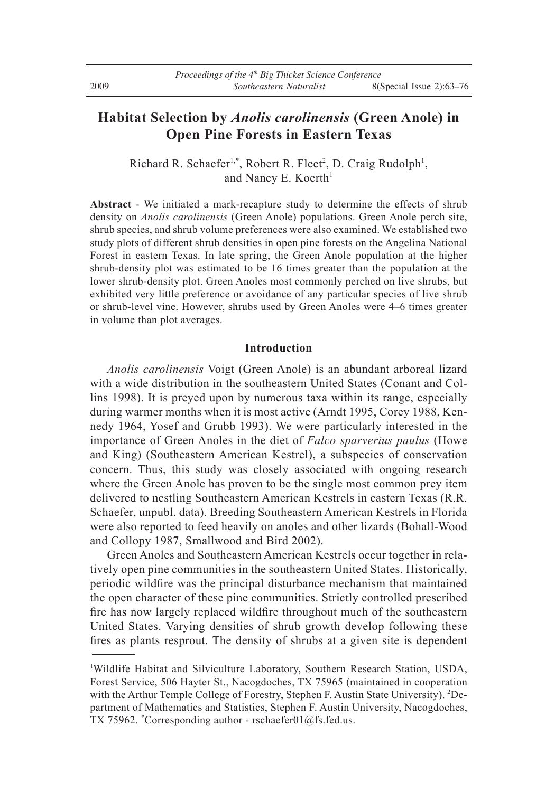# **Habitat Selection by** *Anolis carolinensis* **(Green Anole) in Open Pine Forests in Eastern Texas**

Richard R. Schaefer<sup>1,\*</sup>, Robert R. Fleet<sup>2</sup>, D. Craig Rudolph<sup>1</sup>, and Nancy E. Koerth<sup>1</sup>

**Abstract** - We initiated a mark-recapture study to determine the effects of shrub density on *Anolis carolinensis* (Green Anole) populations. Green Anole perch site, shrub species, and shrub volume preferences were also examined. We established two study plots of different shrub densities in open pine forests on the Angelina National Forest in eastern Texas. In late spring, the Green Anole population at the higher shrub-density plot was estimated to be 16 times greater than the population at the lower shrub-density plot. Green Anoles most commonly perched on live shrubs, but exhibited very little preference or avoidance of any particular species of live shrub or shrub-level vine. However, shrubs used by Green Anoles were 4–6 times greater in volume than plot averages.

# **Introduction**

 *Anolis carolinensis* Voigt (Green Anole) is an abundant arboreal lizard with a wide distribution in the southeastern United States (Conant and Collins 1998). It is preyed upon by numerous taxa within its range, especially during warmer months when it is most active (Arndt 1995, Corey 1988, Kennedy 1964, Yosef and Grubb 1993). We were particularly interested in the importance of Green Anoles in the diet of *Falco sparverius paulus* (Howe and King) (Southeastern American Kestrel), a subspecies of conservation concern. Thus, this study was closely associated with ongoing research where the Green Anole has proven to be the single most common prey item delivered to nestling Southeastern American Kestrels in eastern Texas (R.R. Schaefer, unpubl. data). Breeding Southeastern American Kestrels in Florida were also reported to feed heavily on anoles and other lizards (Bohall-Wood and Collopy 1987, Smallwood and Bird 2002).

Green Anoles and Southeastern American Kestrels occur together in relatively open pine communities in the southeastern United States. Historically, periodic wildfire was the principal disturbance mechanism that maintained the open character of these pine communities. Strictly controlled prescribed fire has now largely replaced wildfire throughout much of the southeastern United States. Varying densities of shrub growth develop following these fires as plants resprout. The density of shrubs at a given site is dependent

<sup>1</sup> Wildlife Habitat and Silviculture Laboratory, Southern Research Station, USDA, Forest Service, 506 Hayter St., Nacogdoches, TX 75965 (maintained in cooperation with the Arthur Temple College of Forestry, Stephen F. Austin State University). <sup>2</sup>Department of Mathematics and Statistics, Stephen F. Austin University, Nacogdoches, TX 75962. \* Corresponding author - rschaefer01@fs.fed.us.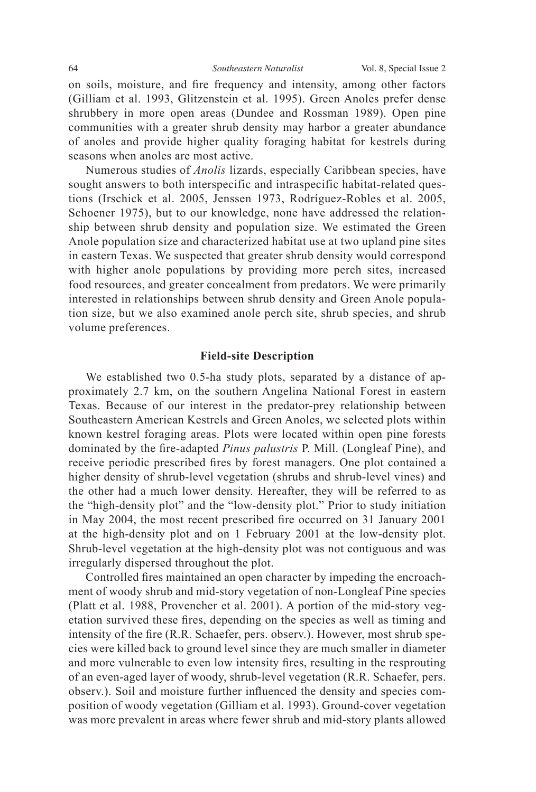on soils, moisture, and fire frequency and intensity, among other factors (Gilliam et al. 1993, Glitzenstein et al. 1995). Green Anoles prefer dense shrubbery in more open areas (Dundee and Rossman 1989). Open pine communities with a greater shrub density may harbor a greater abundance of anoles and provide higher quality foraging habitat for kestrels during seasons when anoles are most active.

 Numerous studies of *Anolis* lizards, especially Caribbean species, have sought answers to both interspecific and intraspecific habitat-related questions (Irschick et al. 2005, Jenssen 1973, Rodríguez-Robles et al. 2005, Schoener 1975), but to our knowledge, none have addressed the relationship between shrub density and population size. We estimated the Green Anole population size and characterized habitat use at two upland pine sites in eastern Texas. We suspected that greater shrub density would correspond with higher anole populations by providing more perch sites, increased food resources, and greater concealment from predators. We were primarily interested in relationships between shrub density and Green Anole population size, but we also examined anole perch site, shrub species, and shrub volume preferences.

# **Field-site Description**

 We established two 0.5-ha study plots, separated by a distance of approximately 2.7 km, on the southern Angelina National Forest in eastern Texas. Because of our interest in the predator-prey relationship between Southeastern American Kestrels and Green Anoles, we selected plots within known kestrel foraging areas. Plots were located within open pine forests dominated by the fire-adapted *Pinus palustris* P. Mill. (Longleaf Pine), and receive periodic prescribed fires by forest managers. One plot contained a higher density of shrub-level vegetation (shrubs and shrub-level vines) and the other had a much lower density. Hereafter, they will be referred to as the "high-density plot" and the "low-density plot." Prior to study initiation in May 2004, the most recent prescribed fire occurred on 31 January 2001 at the high-density plot and on 1 February 2001 at the low-density plot. Shrub-level vegetation at the high-density plot was not contiguous and was irregularly dispersed throughout the plot.

Controlled fires maintained an open character by impeding the encroachment of woody shrub and mid-story vegetation of non-Longleaf Pine species (Platt et al. 1988, Provencher et al. 2001). A portion of the mid-story vegetation survived these fires, depending on the species as well as timing and intensity of the fire (R.R. Schaefer, pers. observ.). However, most shrub species were killed back to ground level since they are much smaller in diameter and more vulnerable to even low intensity fires, resulting in the resprouting of an even-aged layer of woody, shrub-level vegetation (R.R. Schaefer, pers. observ.). Soil and moisture further influenced the density and species composition of woody vegetation (Gilliam et al. 1993). Ground-cover vegetation was more prevalent in areas where fewer shrub and mid-story plants allowed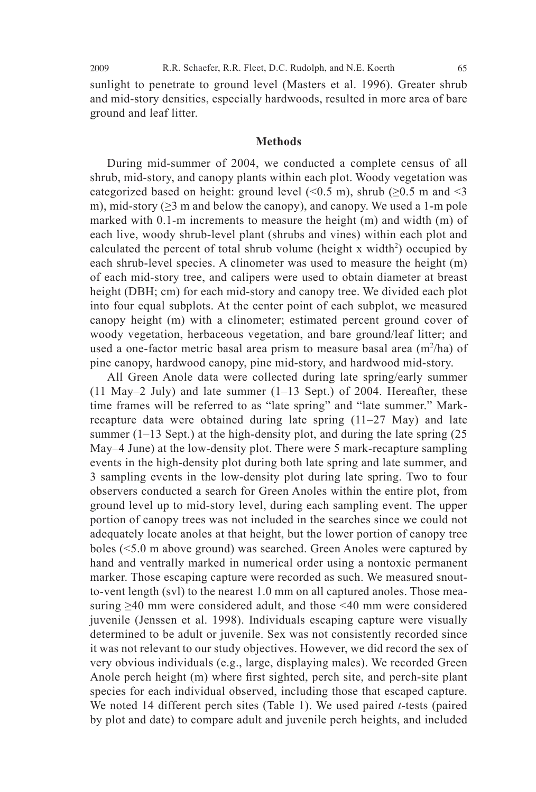sunlight to penetrate to ground level (Masters et al. 1996). Greater shrub and mid-story densities, especially hardwoods, resulted in more area of bare ground and leaf litter.

### **Methods**

 During mid-summer of 2004, we conducted a complete census of all shrub, mid-story, and canopy plants within each plot. Woody vegetation was categorized based on height: ground level  $( $0.5 \text{ m}$ ), shrub ( $\geq 0.5 \text{ m}$  and  $\leq 3$$ m), mid-story  $(\geq)$  m and below the canopy), and canopy. We used a 1-m pole marked with 0.1-m increments to measure the height (m) and width (m) of each live, woody shrub-level plant (shrubs and vines) within each plot and calculated the percent of total shrub volume (height x width<sup>2</sup>) occupied by each shrub-level species. A clinometer was used to measure the height (m) of each mid-story tree, and calipers were used to obtain diameter at breast height (DBH; cm) for each mid-story and canopy tree. We divided each plot into four equal subplots. At the center point of each subplot, we measured canopy height (m) with a clinometer; estimated percent ground cover of woody vegetation, herbaceous vegetation, and bare ground/leaf litter; and used a one-factor metric basal area prism to measure basal area  $(m^2/ha)$  of pine canopy, hardwood canopy, pine mid-story, and hardwood mid-story.

 All Green Anole data were collected during late spring/early summer (11 May–2 July) and late summer  $(1-13$  Sept.) of 2004. Hereafter, these time frames will be referred to as "late spring" and "late summer." Markrecapture data were obtained during late spring (11–27 May) and late summer  $(1-13$  Sept.) at the high-density plot, and during the late spring  $(25$ May–4 June) at the low-density plot. There were 5 mark-recapture sampling events in the high-density plot during both late spring and late summer, and 3 sampling events in the low-density plot during late spring. Two to four observers conducted a search for Green Anoles within the entire plot, from ground level up to mid-story level, during each sampling event. The upper portion of canopy trees was not included in the searches since we could not adequately locate anoles at that height, but the lower portion of canopy tree boles (<5.0 m above ground) was searched. Green Anoles were captured by hand and ventrally marked in numerical order using a nontoxic permanent marker. Those escaping capture were recorded as such. We measured snoutto-vent length (svl) to the nearest 1.0 mm on all captured anoles. Those measuring  $\geq$ 40 mm were considered adult, and those <40 mm were considered juvenile (Jenssen et al. 1998). Individuals escaping capture were visually determined to be adult or juvenile. Sex was not consistently recorded since it was not relevant to our study objectives. However, we did record the sex of very obvious individuals (e.g., large, displaying males). We recorded Green Anole perch height (m) where first sighted, perch site, and perch-site plant species for each individual observed, including those that escaped capture. We noted 14 different perch sites (Table 1). We used paired *t*-tests (paired by plot and date) to compare adult and juvenile perch heights, and included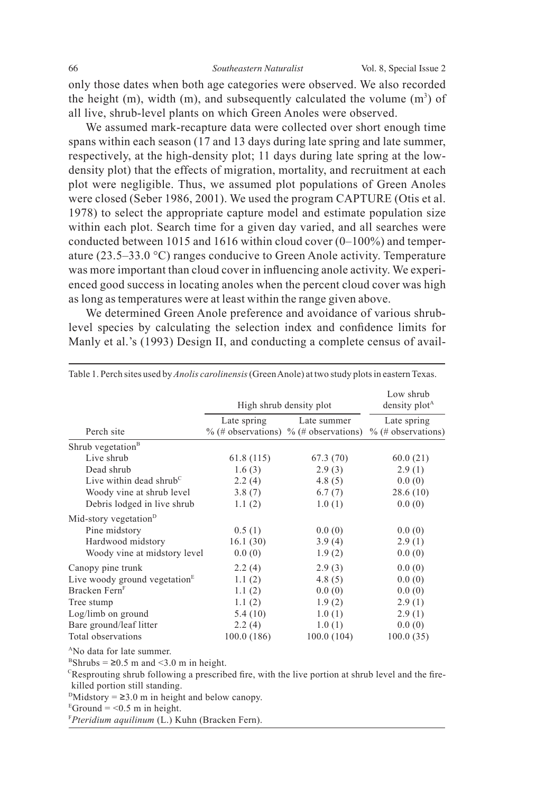only those dates when both age categories were observed. We also recorded the height  $(m)$ , width  $(m)$ , and subsequently calculated the volume  $(m<sup>3</sup>)$  of all live, shrub-level plants on which Green Anoles were observed.

 We assumed mark-recapture data were collected over short enough time spans within each season (17 and 13 days during late spring and late summer, respectively, at the high-density plot; 11 days during late spring at the lowdensity plot) that the effects of migration, mortality, and recruitment at each plot were negligible. Thus, we assumed plot populations of Green Anoles were closed (Seber 1986, 2001). We used the program CAPTURE (Otis et al. 1978) to select the appropriate capture model and estimate population size within each plot. Search time for a given day varied, and all searches were conducted between 1015 and 1616 within cloud cover (0–100%) and temperature (23.5–33.0 °C) ranges conducive to Green Anole activity. Temperature was more important than cloud cover in influencing anole activity. We experienced good success in locating anoles when the percent cloud cover was high as long as temperatures were at least within the range given above.

 We determined Green Anole preference and avoidance of various shrublevel species by calculating the selection index and confidence limits for Manly et al.'s (1993) Design II, and conducting a complete census of avail-

|                                    | High shrub density plot | Low shrub<br>density plot <sup>A</sup>                     |                                     |  |
|------------------------------------|-------------------------|------------------------------------------------------------|-------------------------------------|--|
| Perch site                         | Late spring             | Late summer<br>$\%$ (# observations) $\%$ (# observations) | Late spring<br>$%$ (# observations) |  |
| Shrub vegetation <sup>B</sup>      |                         |                                                            |                                     |  |
| Live shrub                         | 61.8(115)               | 67.3(70)                                                   | 60.0(21)                            |  |
| Dead shrub                         | 1.6(3)                  | 2.9(3)                                                     | 2.9(1)                              |  |
| Live within dead shrub $\rm{^{c}}$ | 2.2(4)                  | 4.8(5)                                                     | 0.0(0)                              |  |
| Woody vine at shrub level          | 3.8(7)                  | 6.7(7)                                                     | 28.6(10)                            |  |
| Debris lodged in live shrub        | 1.1(2)                  | 1.0(1)                                                     | 0.0(0)                              |  |
| Mid-story vegetation <sup>D</sup>  |                         |                                                            |                                     |  |
| Pine midstory                      | 0.5(1)                  | 0.0(0)                                                     | 0.0(0)                              |  |
| Hardwood midstory                  | 16.1(30)                | 3.9(4)                                                     | 2.9(1)                              |  |
| Woody vine at midstory level       | 0.0(0)                  | 1.9(2)                                                     | 0.0(0)                              |  |
| Canopy pine trunk                  | 2.2(4)                  | 2.9(3)                                                     | 0.0(0)                              |  |
| Live woody ground vegetation $E$   | 1.1(2)                  | 4.8(5)                                                     | 0.0(0)                              |  |
| Bracken Fern <sup>F</sup>          | 1.1(2)                  | 0.0(0)                                                     | 0.0(0)                              |  |
| Tree stump                         | 1.1(2)                  | 1.9(2)                                                     | 2.9(1)                              |  |
| Log/limb on ground                 | 5.4(10)                 | 1.0(1)                                                     | 2.9(1)                              |  |
| Bare ground/leaf litter            | 2.2(4)                  | 1.0(1)                                                     | 0.0(0)                              |  |
| Total observations                 | 100.0(186)              | 100.0(104)                                                 | 100.0(35)                           |  |

Table 1. Perch sites used by *Anolis carolinensis* (Green Anole) at two study plots in eastern Texas.

<sup>A</sup>No data for late summer.

 $B_{\text{Shrubs}} = 20.5 \text{ m and } 3.0 \text{ m in height.}$ 

 ${}^{\text{c}}$ Resprouting shrub following a prescribed fire, with the live portion at shrub level and the firekilled portion still standing.

 $\text{PMidstory} = 23.0 \text{ m}$  in height and below canopy.

 $E$ Ground = <0.5 m in height.

F *Pteridium aquilinum* (L.) Kuhn (Bracken Fern).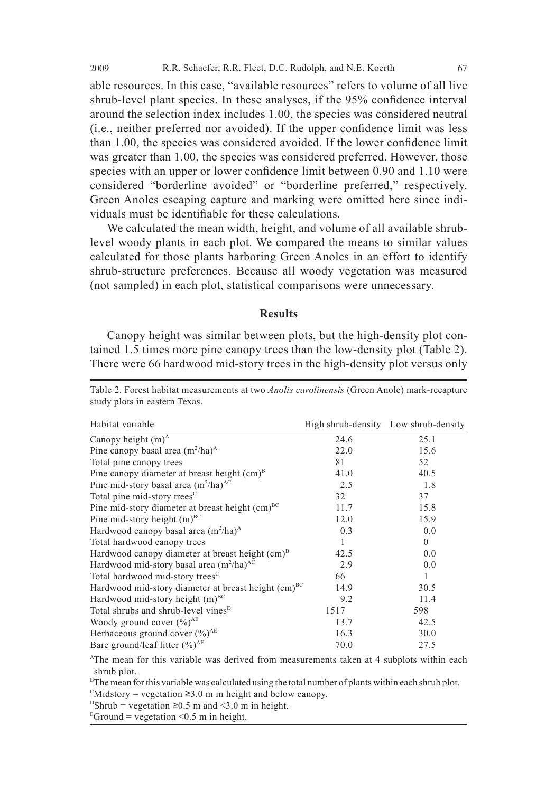able resources. In this case, "available resources" refers to volume of all live shrub-level plant species. In these analyses, if the 95% confidence interval around the selection index includes 1.00, the species was considered neutral  $(i.e., neither preferred nor avoided).$  If the upper confidence limit was less than 1.00, the species was considered avoided. If the lower confidence limit was greater than 1.00, the species was considered preferred. However, those species with an upper or lower confidence limit between 0.90 and 1.10 were considered "borderline avoided" or "borderline preferred," respectively. Green Anoles escaping capture and marking were omitted here since individuals must be identifiable for these calculations.

 We calculated the mean width, height, and volume of all available shrublevel woody plants in each plot. We compared the means to similar values calculated for those plants harboring Green Anoles in an effort to identify shrub-structure preferences. Because all woody vegetation was measured (not sampled) in each plot, statistical comparisons were unnecessary.

### **Results**

 Canopy height was similar between plots, but the high-density plot contained 1.5 times more pine canopy trees than the low-density plot (Table 2). There were 66 hardwood mid-story trees in the high-density plot versus only

| Habitat variable                                                | High shrub-density Low shrub-density |          |
|-----------------------------------------------------------------|--------------------------------------|----------|
| Canopy height $(m)^A$                                           | 24.6                                 | 25.1     |
| Pine canopy basal area $(m^2/ha)^A$                             | 22.0                                 | 15.6     |
| Total pine canopy trees                                         | 81                                   | 52       |
| Pine can opy diameter at breast height $(cm)^B$                 | 41.0                                 | 40.5     |
| Pine mid-story basal area $(m^2/ha)^{AC}$                       | 2.5                                  | 1.8      |
| Total pine mid-story trees <sup>C</sup>                         | 32                                   | 37       |
| Pine mid-story diameter at breast height (cm) <sup>BC</sup>     | 11.7                                 | 15.8     |
| Pine mid-story height $(m)^{BC}$                                | 12.0                                 | 15.9     |
| Hardwood canopy basal area $(m^2/ha)^A$                         | 0.3                                  | 0.0      |
| Total hardwood canopy trees                                     | 1                                    | $\theta$ |
| Hardwood canopy diameter at breast height (cm) <sup>B</sup>     | 42.5                                 | 0.0      |
| Hardwood mid-story basal area $(m^2/ha)^{AC}$                   | 2.9                                  | 0.0      |
| Total hardwood mid-story trees <sup>C</sup>                     | 66                                   | 1        |
| Hardwood mid-story diameter at breast height (cm) <sup>BC</sup> | 14.9                                 | 30.5     |
| Hardwood mid-story height $(m)$ <sup>BC</sup>                   | 9.2                                  | 11.4     |
| Total shrubs and shrub-level vines <sup>D</sup>                 | 1517                                 | 598      |
| Woody ground cover $(\%)^{AE}$                                  | 13.7                                 | 42.5     |
| Herbaceous ground cover $(\%)^{\text{AE}}$                      | 16.3                                 | 30.0     |
| Bare ground/leaf litter $(\%)^{\text{AE}}$                      | 70.0                                 | 27.5     |

Table 2. Forest habitat measurements at two *Anolis carolinensis* (Green Anole) mark-recapture study plots in eastern Texas.

A The mean for this variable was derived from measurements taken at 4 subplots within each shrub plot.

 $B<sup>B</sup>$ The mean for this variable was calculated using the total number of plants within each shrub plot.

 $\text{C}_{\text{Midstory}}$  = vegetation  $\geq 3.0$  m in height and below canopy.

 $D\text{Shrub} = \text{vegetation } \geq 0.5 \text{ m and } \leq 3.0 \text{ m in height.}$ 

 $E$ Ground = vegetation < 0.5 m in height.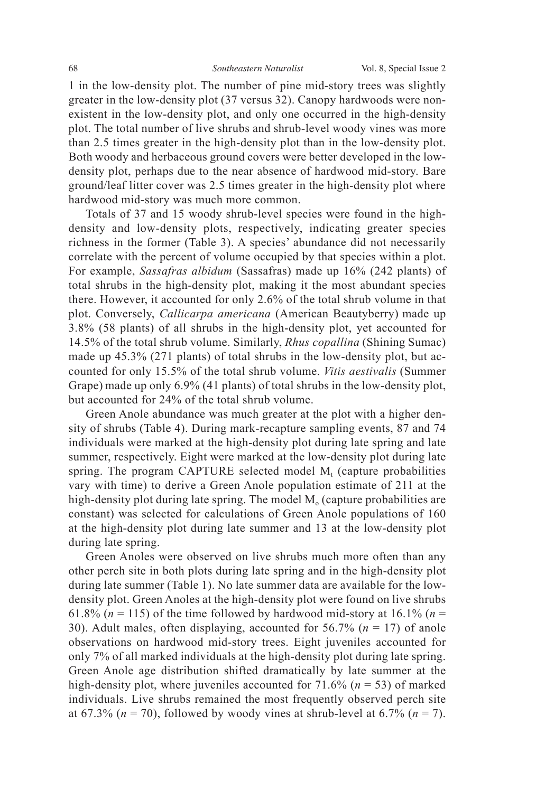1 in the low-density plot. The number of pine mid-story trees was slightly greater in the low-density plot (37 versus 32). Canopy hardwoods were nonexistent in the low-density plot, and only one occurred in the high-density plot. The total number of live shrubs and shrub-level woody vines was more than 2.5 times greater in the high-density plot than in the low-density plot. Both woody and herbaceous ground covers were better developed in the lowdensity plot, perhaps due to the near absence of hardwood mid-story. Bare ground/leaf litter cover was 2.5 times greater in the high-density plot where hardwood mid-story was much more common.

 Totals of 37 and 15 woody shrub-level species were found in the highdensity and low-density plots, respectively, indicating greater species richness in the former (Table 3). A species' abundance did not necessarily correlate with the percent of volume occupied by that species within a plot. For example, *Sassafras albidum* (Sassafras) made up 16% (242 plants) of total shrubs in the high-density plot, making it the most abundant species there. However, it accounted for only 2.6% of the total shrub volume in that plot. Conversely, *Callicarpa americana* (American Beautyberry) made up 3.8% (58 plants) of all shrubs in the high-density plot, yet accounted for 14.5% of the total shrub volume. Similarly, *Rhus copallina* (Shining Sumac) made up 45.3% (271 plants) of total shrubs in the low-density plot, but accounted for only 15.5% of the total shrub volume. *Vitis aestivalis* (Summer Grape) made up only 6.9% (41 plants) of total shrubs in the low-density plot, but accounted for 24% of the total shrub volume.

Green Anole abundance was much greater at the plot with a higher density of shrubs (Table 4). During mark-recapture sampling events, 87 and 74 individuals were marked at the high-density plot during late spring and late summer, respectively. Eight were marked at the low-density plot during late spring. The program CAPTURE selected model  $M_t$  (capture probabilities vary with time) to derive a Green Anole population estimate of 211 at the high-density plot during late spring. The model  $M<sub>o</sub>$  (capture probabilities are constant) was selected for calculations of Green Anole populations of 160 at the high-density plot during late summer and 13 at the low-density plot during late spring.

Green Anoles were observed on live shrubs much more often than any other perch site in both plots during late spring and in the high-density plot during late summer (Table 1). No late summer data are available for the lowdensity plot. Green Anoles at the high-density plot were found on live shrubs 61.8% ( $n = 115$ ) of the time followed by hardwood mid-story at 16.1% ( $n =$ 30). Adult males, often displaying, accounted for 56.7% (*n* = 17) of anole observations on hardwood mid-story trees. Eight juveniles accounted for only 7% of all marked individuals at the high-density plot during late spring. Green Anole age distribution shifted dramatically by late summer at the high-density plot, where juveniles accounted for 71.6% (*n* = 53) of marked individuals. Live shrubs remained the most frequently observed perch site at 67.3% ( $n = 70$ ), followed by woody vines at shrub-level at 6.7% ( $n = 7$ ).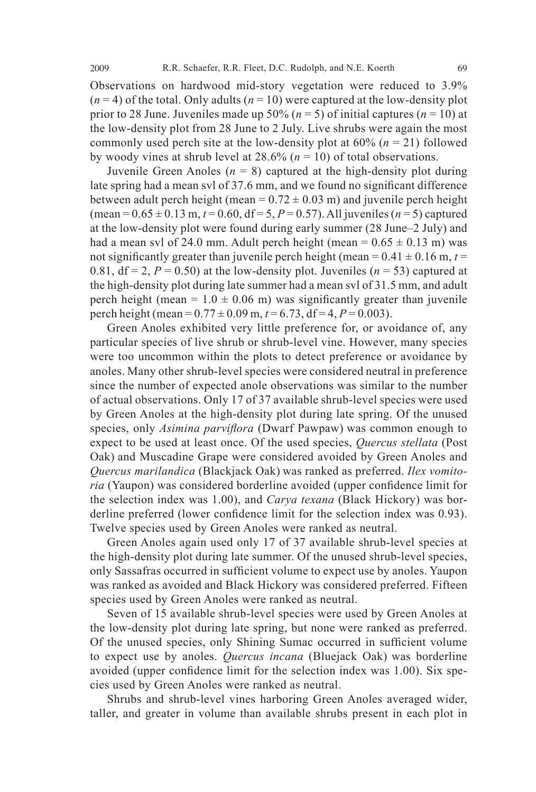Observations on hardwood mid-story vegetation were reduced to 3.9%  $(n=4)$  of the total. Only adults  $(n=10)$  were captured at the low-density plot prior to 28 June. Juveniles made up 50% ( $n = 5$ ) of initial captures ( $n = 10$ ) at the low-density plot from 28 June to 2 July. Live shrubs were again the most commonly used perch site at the low-density plot at  $60\%$  ( $n = 21$ ) followed by woody vines at shrub level at 28.6% (*n* = 10) of total observations.

Juvenile Green Anoles  $(n = 8)$  captured at the high-density plot during late spring had a mean svl of 37.6 mm, and we found no significant difference between adult perch height (mean =  $0.72 \pm 0.03$  m) and juvenile perch height  $(\text{mean} = 0.65 \pm 0.13 \text{ m}, t = 0.60, df = 5, P = 0.57)$ . All juveniles  $(n = 5)$  captured at the low-density plot were found during early summer (28 June–2 July) and had a mean svl of 24.0 mm. Adult perch height (mean =  $0.65 \pm 0.13$  m) was not significantly greater than juvenile perch height (mean =  $0.41 \pm 0.16$  m,  $t =$ 0.81,  $df = 2$ ,  $P = 0.50$ ) at the low-density plot. Juveniles ( $n = 53$ ) captured at the high-density plot during late summer had a mean svl of 31.5 mm, and adult perch height (mean =  $1.0 \pm 0.06$  m) was significantly greater than juvenile perch height (mean =  $0.77 \pm 0.09$  m,  $t = 6.73$ , df = 4,  $P = 0.003$ ).

Green Anoles exhibited very little preference for, or avoidance of, any particular species of live shrub or shrub-level vine. However, many species were too uncommon within the plots to detect preference or avoidance by anoles. Many other shrub-level species were considered neutral in preference since the number of expected anole observations was similar to the number of actual observations. Only 17 of 37 available shrub-level species were used by Green Anoles at the high-density plot during late spring. Of the unused species, only *Asimina parviflora* (Dwarf Pawpaw) was common enough to expect to be used at least once. Of the used species, *Quercus stellata* (Post Oak) and Muscadine Grape were considered avoided by Green Anoles and *Quercus marilandica* (Blackjack Oak) was ranked as preferred. *Ilex vomitoria* (Yaupon) was considered borderline avoided (upper confidence limit for the selection index was 1.00), and *Carya texana* (Black Hickory) was borderline preferred (lower confidence limit for the selection index was 0.93). Twelve species used by Green Anoles were ranked as neutral.

 Green Anoles again used only 17 of 37 available shrub-level species at the high-density plot during late summer. Of the unused shrub-level species, only Sassafras occurred in sufficient volume to expect use by anoles. Yaupon was ranked as avoided and Black Hickory was considered preferred. Fifteen species used by Green Anoles were ranked as neutral.

 Seven of 15 available shrub-level species were used by Green Anoles at the low-density plot during late spring, but none were ranked as preferred. Of the unused species, only Shining Sumac occurred in sufficient volume to expect use by anoles. *Quercus incana* (Bluejack Oak) was borderline avoided (upper confidence limit for the selection index was  $1.00$ ). Six species used by Green Anoles were ranked as neutral.

 Shrubs and shrub-level vines harboring Green Anoles averaged wider, taller, and greater in volume than available shrubs present in each plot in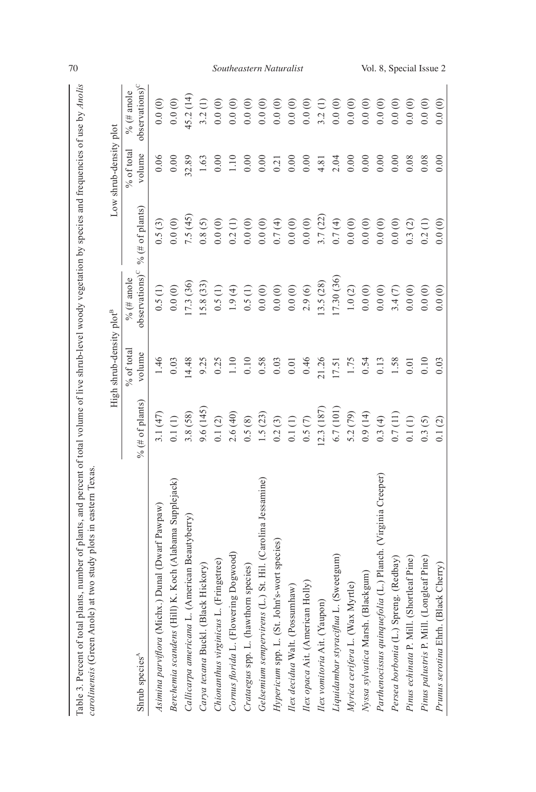|                                                             |                 | High shrub-density plot <sup>B</sup> |                                           |                 | Low shrub-density plot |                                           |
|-------------------------------------------------------------|-----------------|--------------------------------------|-------------------------------------------|-----------------|------------------------|-------------------------------------------|
| Shrub species <sup>A</sup>                                  | % (# of plants) | % of total<br>volume                 | $observations$ <sup>C</sup><br>% (# anole | % (# of plants) | $%$ of total<br>volume | observation <sup>C</sup><br>$\%$ (# anole |
| Asimina parviflora (Michx.) Dunal (Dwarf Pawpaw)            | 3.1(47)         | 1.46                                 | 0.5(1)                                    | 0.5(3)          | 0.06                   | 0.0(0)                                    |
| Berchemia scandens (Hill) K. Koch (Alabama Supplejack)      | $0.1\ (1)$      | 0.03                                 | 0.0(0)                                    | 0.0(0)          | 0.00                   | 0.0(0)                                    |
| Callicarpa americana L. (American Beautyberry)              | 3.8(58)         | 14.48                                | 1.3(36)                                   | 7.5(45)         | 32.89                  | 45.2(14)                                  |
| Carya texana Buckl. (Black Hickory)                         | 9.6(145)        | 9.25                                 | 15.8 (33)                                 | 0.8(5)          | 1.63                   | 3.2(1)                                    |
| Chionanthus virginicus L. (Fringetree)                      | 0.1(2)          | 0.25                                 | 0.5(1)                                    | 0.0(0)          | 0.00                   | 0.0(0)                                    |
| Cornus florida L. (Flowering Dogwood)                       | 2.6(40)         | $1.10$                               | 1.9(4)                                    | 0.2(1)          | 1.10                   | 0.0(0)                                    |
| Crataegus spp. L. (hawthorn species)                        | 0.5(8)          | 0.10                                 | 0.5(1)                                    | 0.0(0)          | 0.00                   | 0.0(0)                                    |
| Gelsemium sempervirens (L.) St. Hil. (Carolina Jessamine)   | 1.5(23)         | 0.58                                 | 0.0(0)                                    | 0.0(0)          | 0.00                   | 0.0(0)                                    |
| Hypericum spp. L. (St. John's-wort species)                 | 0.2(3)          | 0.03                                 | 0.0(0)                                    | 0.7(4)          | 0.21                   | 0.0(0)                                    |
| Ilex decidua Walt. (Possumhaw)                              | 0.1(1)          | 0.01                                 | 0.0(0)                                    | 0.0(0)          | 0.00                   | 0.0(0)                                    |
| Ilex opaca Ait. (American Holly)                            | 0.5(7)          | 0.46                                 | 2.9(6)                                    | 0.0(0)          | 0.00                   | 0.0(0)                                    |
| Ilex vomitoria Ait. (Yaupon)                                | 2.3 (187        | 21.26                                | 13.5(28)                                  | 3.7(22)         | 4.81                   | 3.2(1)                                    |
| L. (Sweetgum)<br>Liquidambar styraciflua                    | 6.7 (101        | 17.51                                | 17.30(36)                                 | 0.7(4)          | 2.04                   | 0.0(0)                                    |
| Myrtle)<br>Myrica cerifera L. (Wax                          | 5.2 (79)        | 1.75                                 | $1.0\ (2)$                                | 0.0(0)          | 0.00                   | 0.0(0)                                    |
| (Blackgum)<br>Nyssa sylvatica Marsh. (                      | 0.9(14)         | 0.54                                 | 0.0(0)                                    | 0.0(0)          | 0.00                   | 0.0(0)                                    |
| Parthenocissus quinquefolia (L.) Planch. (Virginia Creeper) | 0.3(4)          | 0.13                                 | 0.0(0)                                    | 0.0(0)          | 0.00                   | 0.0(0)                                    |
| Persea borbonia (L.) Spreng. (Redbay)                       | 0.7(11)         | 1.58                                 | 3.4(7)                                    | 0.0(0)          | 0.00                   | 0.0(0)                                    |
| (Shortleaf Pine)<br>Pinus echinata P. Mill.                 | 0.1(1)          | 0.01                                 | 0.0(0)                                    | 0.3(2)          | 0.08                   | 0.0(0)                                    |
| (Longleaf Pine)<br>Pinus palustris P. Mill.                 | 0.3(5)          | 0.10                                 | 0.0(0)                                    | 0.2(1)          | 0.08                   | 0.0(0)                                    |
| Prunus serotina Ehrh. (Black Cherry)                        | 0.1(2)          | 0.03                                 | 0.0(0)                                    | 0.0(0)          | 0.00                   | 0.0(0)                                    |

Table 3. Percent of total plants, number of plants, and percent of total volume of live shrub-level woody vegetation by species and frequencies of use by Anolis carolinensis (Green Anole) at two study plots in eastern Texa

# 70 *Southeastern Naturalist* Vol. 8, Special Issue 2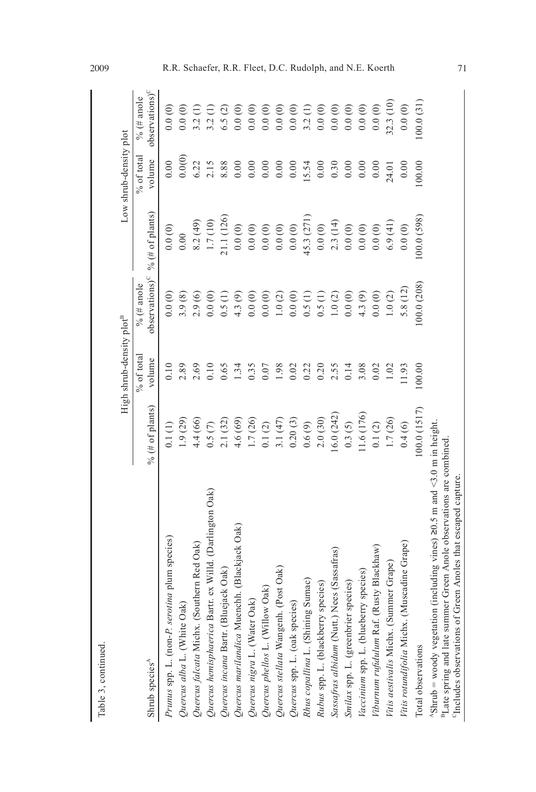|                                                                                                                                                                                                                                            |                 | High shrub-density plot <sup>B</sup> |                                           |                 | Low shrub-density plot |                                           |
|--------------------------------------------------------------------------------------------------------------------------------------------------------------------------------------------------------------------------------------------|-----------------|--------------------------------------|-------------------------------------------|-----------------|------------------------|-------------------------------------------|
| Shrub species <sup>A</sup>                                                                                                                                                                                                                 | % (# of plants) | $%$ of total<br>volume               | observation <sup>C</sup><br>% $($ # anole | % (# of plants) | % of total<br>volume   | observation <sup>C</sup><br>$\%$ (# anole |
| Prunus spp. L. (non-P. serotina plum species)                                                                                                                                                                                              | 0.1(1)          | 0.10                                 | 0.0(0)                                    | 0.0(0)          | 0.00                   | 0.0(0)                                    |
| Quercus alba L. (White Oak)                                                                                                                                                                                                                | 1.9(29)         | 2.89                                 | 3.9(8)                                    | 0.00            | 0.0(0)                 | 0.0(0)                                    |
| Quercus falcata Michx. (Southern Red Oak)                                                                                                                                                                                                  | 4.4 (66)        | 2.69                                 | 2.9(6)                                    | 8.2(49)         | 6.22                   | 3.2                                       |
| Quercus hemisphaerica Bartr. ex Willd. (Darlington Oak)                                                                                                                                                                                    | 0.5(7)          | 0.10                                 | 0.0(0)                                    | 1.7(10)         | 2.15                   | 3.2                                       |
| Quercus incana Bartr. (Bluejack Oak)                                                                                                                                                                                                       | 2.1(32)         | 0.65                                 | 0.5(1)                                    | (1.1)(126)      | 8.88                   | 6.5(2)                                    |
| Quercus marilandica Muenchh. (Blackjack Oak)                                                                                                                                                                                               | 4.6(69)         | 1.34                                 | 4.3(9)                                    | 0.0(0)          | 0.00                   | 0.0(0)                                    |
| Quercus nigra L. (Water Oak)                                                                                                                                                                                                               | 1.7(26)         | 0.35                                 | 0.0(0)                                    | 0.0(0)          | 0.00                   | 0.0(0)                                    |
| Quercus phellos L. (Willow Oak)                                                                                                                                                                                                            | $0.1\ (2)$      | 0.07                                 | 0.0(0)                                    | $0.0\ (0)$      | 0.00                   | 0.0(0)                                    |
| Quercus stellata Wangenh. (Post Oak)                                                                                                                                                                                                       | 3.1(47)         | 1.98                                 | 1.0(2)                                    | 0.0(0)          | 0.00                   | 0.0(0)                                    |
| Quercus spp. L. (oak species)                                                                                                                                                                                                              | 0.20(3)         | 0.02                                 | 0.0(0)                                    | 0.0(0)          | 0.00                   | 0.0(0)                                    |
| Rhus copallina L. (Shining Sumac)                                                                                                                                                                                                          | 0.6(9)          | 0.22                                 | 0.5(1)                                    | 45.3 (271       | 15.54                  | 3.2 <sub>1</sub>                          |
| Rubus spp. L. (blackberry species)                                                                                                                                                                                                         | 2.0(30)         | 0.20                                 | 0.5(1)                                    | 0.0(0)          | 0.00                   | 0.0(0)                                    |
| Sassafras albidum (Nutt.) Nees (Sassafras)                                                                                                                                                                                                 | (6.0 (242))     | 2.55                                 | 1.0(2)                                    | 2.3(14)         | 0.30                   | 0.0(0)                                    |
| Smilax spp. L. (greenbrier species)                                                                                                                                                                                                        | 0.3(5)          | 0.14                                 | 0.0(0)                                    | 0.0(0)          | 0.00                   | 0.0(0)                                    |
| Vaccinium spp. L. (blueberry species)                                                                                                                                                                                                      | 11.6(176)       | 3.08                                 | 4.3(9)                                    | 0.0(0)          | 0.00                   | 0.0(0)                                    |
| Viburnum rufidulum Raf. (Rusty Blackhaw)                                                                                                                                                                                                   | 0.1(2)          | 0.02                                 | 0.0(0)                                    | 0.0(0)          | 0.00                   | 0.0(0)                                    |
| ummer Grape)<br>Vitis aestivalis Michx. (St                                                                                                                                                                                                | 1.7 (26)        | 1.02                                 | 1.0(2)                                    | 6.9(41)         | 24.01                  | 32.3(10)                                  |
| Vitis rotundifolia Michx. (Muscadine Grape)                                                                                                                                                                                                | 0.4(6)          | 11.93                                | 5.8(12)                                   | 0.0(0)          | 0.00                   | 0.0(0)                                    |
| Total observations                                                                                                                                                                                                                         | 100.0(1517)     | 100.00                               | 100.0(208)                                | 100.0 (598)     | 100.00                 | (00.0(31)                                 |
| $^4$ Shrub = woody vegetation (including vines) 20.5 m and <3.0 m in height.<br><sup>B</sup> Late spring and late summer Green Anole observations are combined<br><sup>C</sup> Includes observations of Green Anoles that escaped capture. |                 |                                      |                                           |                 |                        |                                           |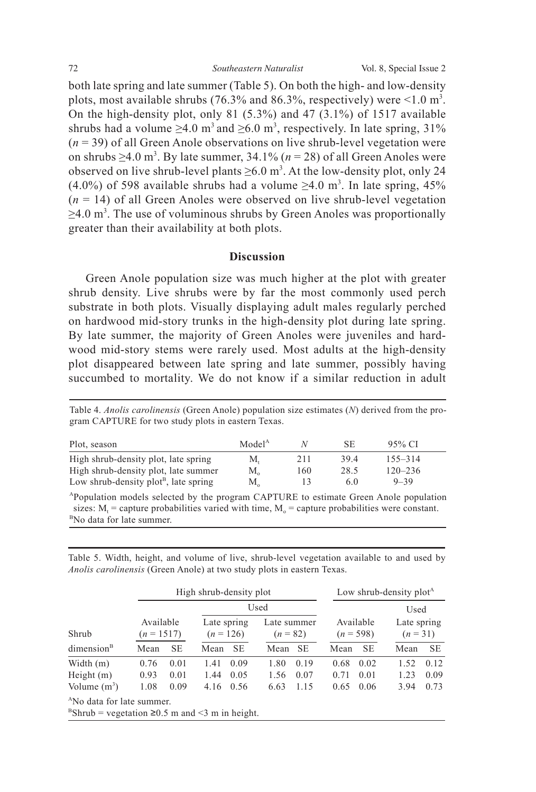both late spring and late summer (Table 5). On both the high- and low-density plots, most available shrubs (76.3% and 86.3%, respectively) were  $\leq 1.0$  m<sup>3</sup>. On the high-density plot, only 81 (5.3%) and 47 (3.1%) of 1517 available shrubs had a volume  $\geq 4.0$  m<sup>3</sup> and  $\geq 6.0$  m<sup>3</sup>, respectively. In late spring, 31% (*n* = 39) of all Green Anole observations on live shrub-level vegetation were on shrubs  $\geq$ 4.0 m<sup>3</sup>. By late summer, 34.1% ( $n = 28$ ) of all Green Anoles were observed on live shrub-level plants  $\geq 6.0$  m<sup>3</sup>. At the low-density plot, only 24  $(4.0\%)$  of 598 available shrubs had a volume  $\geq 4.0$  m<sup>3</sup>. In late spring, 45%  $(n = 14)$  of all Green Anoles were observed on live shrub-level vegetation  $\geq$ 4.0 m<sup>3</sup>. The use of voluminous shrubs by Green Anoles was proportionally greater than their availability at both plots.

# **Discussion**

Green Anole population size was much higher at the plot with greater shrub density. Live shrubs were by far the most commonly used perch substrate in both plots. Visually displaying adult males regularly perched on hardwood mid-story trunks in the high-density plot during late spring. By late summer, the majority of Green Anoles were juveniles and hardwood mid-story stems were rarely used. Most adults at the high-density plot disappeared between late spring and late summer, possibly having succumbed to mortality. We do not know if a similar reduction in adult

Table 4. *Anolis carolinensis* (Green Anole) population size estimates (*N*) derived from the program CAPTURE for two study plots in eastern Texas.

| Plot, season                             | Model <sup>A</sup> |     | SE   | 95% CI      |  |
|------------------------------------------|--------------------|-----|------|-------------|--|
| High shrub-density plot, late spring     | М.                 | 211 | 39.4 | $155 - 314$ |  |
| High shrub-density plot, late summer     | $M_{\alpha}$       | 160 | 28.5 | $120 - 236$ |  |
| Low shrub-density $plot^B$ , late spring | $M_{\alpha}$       | 13  | 6.0  | $9 - 39$    |  |

APopulation models selected by the program CAPTURE to estimate Green Anole population sizes:  $M_t$  = capture probabilities varied with time,  $M_0$  = capture probabilities were constant. <sup>B</sup>No data for late summer.

Table 5. Width, height, and volume of live, shrub-level vegetation available to and used by *Anolis carolinensis* (Green Anole) at two study plots in eastern Texas.

|                            |              | High shrub-density plot   |              |                            |              |                                   |      | Low shrub-density plot <sup>A</sup> |      |                                 |  |
|----------------------------|--------------|---------------------------|--------------|----------------------------|--------------|-----------------------------------|------|-------------------------------------|------|---------------------------------|--|
| Shrub                      |              | Available<br>$(n = 1517)$ |              | Late spring<br>$(n = 126)$ |              | Used<br>Late summer<br>$(n = 82)$ |      | Available<br>$(n = 598)$            |      | Used<br>Late spring<br>$(n=31)$ |  |
| dimension <sup>B</sup>     | Mean         | <b>SE</b>                 | Mean         | <b>SE</b>                  | Mean SE      |                                   | Mean | <b>SE</b>                           | Mean | <b>SE</b>                       |  |
| Width $(m)$                | 0.76         | 0.01                      | 0.09<br>1.41 |                            | 1.80         | 0.19                              | 0.68 | 0.02                                | 1.52 | 0.12                            |  |
| Height $(m)$               | 0.93<br>0.01 |                           | 1.44         | 0.05                       | 0.07<br>1.56 |                                   | 0.71 | 0.01                                | 1.23 | 0.09                            |  |
| Volume $(m^3)$             | 1.08         | 0.09                      | 4.16         | 0.56                       | 6.63         | 1.15                              | 0.65 | 0.06                                | 3.94 | 0.73                            |  |
| $ANa$ data far lata gumman |              |                           |              |                            |              |                                   |      |                                     |      |                                 |  |

No data for late summer.

 $B\text{Shrub}$  = vegetation  $\geq 0.5$  m and <3 m in height.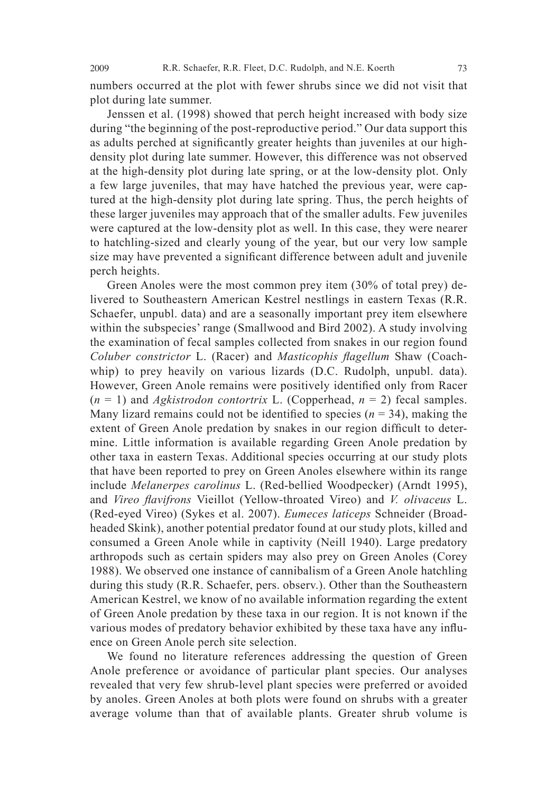numbers occurred at the plot with fewer shrubs since we did not visit that plot during late summer.

 Jenssen et al. (1998) showed that perch height increased with body size during "the beginning of the post-reproductive period." Our data support this as adults perched at significantly greater heights than juveniles at our highdensity plot during late summer. However, this difference was not observed at the high-density plot during late spring, or at the low-density plot. Only a few large juveniles, that may have hatched the previous year, were captured at the high-density plot during late spring. Thus, the perch heights of these larger juveniles may approach that of the smaller adults. Few juveniles were captured at the low-density plot as well. In this case, they were nearer to hatchling-sized and clearly young of the year, but our very low sample size may have prevented a significant difference between adult and juvenile perch heights.

Green Anoles were the most common prey item (30% of total prey) delivered to Southeastern American Kestrel nestlings in eastern Texas (R.R. Schaefer, unpubl. data) and are a seasonally important prey item elsewhere within the subspecies' range (Smallwood and Bird 2002). A study involving the examination of fecal samples collected from snakes in our region found *Coluber constrictor* L. (Racer) and *Masticophis fl agellum* Shaw (Coachwhip) to prey heavily on various lizards (D.C. Rudolph, unpubl. data). However, Green Anole remains were positively identified only from Racer  $(n = 1)$  and *Agkistrodon contortrix* L. (Copperhead,  $n = 2$ ) fecal samples. Many lizard remains could not be identified to species  $(n = 34)$ , making the extent of Green Anole predation by snakes in our region difficult to determine. Little information is available regarding Green Anole predation by other taxa in eastern Texas. Additional species occurring at our study plots that have been reported to prey on Green Anoles elsewhere within its range include *Melanerpes carolinus* L. (Red-bellied Woodpecker) (Arndt 1995), and *Vireo fl avifrons* Vieillot (Yellow-throated Vireo) and *V. olivaceus* L. (Red-eyed Vireo) (Sykes et al. 2007). *Eumeces laticeps* Schneider (Broadheaded Skink), another potential predator found at our study plots, killed and consumed a Green Anole while in captivity (Neill 1940). Large predatory arthropods such as certain spiders may also prey on Green Anoles (Corey 1988). We observed one instance of cannibalism of a Green Anole hatchling during this study (R.R. Schaefer, pers. observ.). Other than the Southeastern American Kestrel, we know of no available information regarding the extent of Green Anole predation by these taxa in our region. It is not known if the various modes of predatory behavior exhibited by these taxa have any influence on Green Anole perch site selection.

 We found no literature references addressing the question of Green Anole preference or avoidance of particular plant species. Our analyses revealed that very few shrub-level plant species were preferred or avoided by anoles. Green Anoles at both plots were found on shrubs with a greater average volume than that of available plants. Greater shrub volume is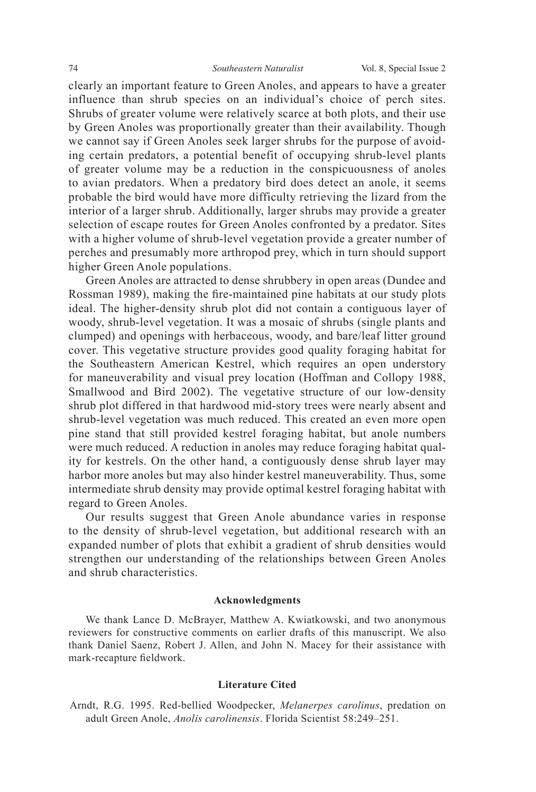clearly an important feature to Green Anoles, and appears to have a greater influence than shrub species on an individual's choice of perch sites. Shrubs of greater volume were relatively scarce at both plots, and their use by Green Anoles was proportionally greater than their availability. Though we cannot say if Green Anoles seek larger shrubs for the purpose of avoiding certain predators, a potential benefit of occupying shrub-level plants of greater volume may be a reduction in the conspicuousness of anoles to avian predators. When a predatory bird does detect an anole, it seems probable the bird would have more difficulty retrieving the lizard from the interior of a larger shrub. Additionally, larger shrubs may provide a greater selection of escape routes for Green Anoles confronted by a predator. Sites with a higher volume of shrub-level vegetation provide a greater number of perches and presumably more arthropod prey, which in turn should support higher Green Anole populations.

Green Anoles are attracted to dense shrubbery in open areas (Dundee and Rossman 1989), making the fire-maintained pine habitats at our study plots ideal. The higher-density shrub plot did not contain a contiguous layer of woody, shrub-level vegetation. It was a mosaic of shrubs (single plants and clumped) and openings with herbaceous, woody, and bare/leaf litter ground cover. This vegetative structure provides good quality foraging habitat for the Southeastern American Kestrel, which requires an open understory for maneuverability and visual prey location (Hoffman and Collopy 1988, Smallwood and Bird 2002). The vegetative structure of our low-density shrub plot differed in that hardwood mid-story trees were nearly absent and shrub-level vegetation was much reduced. This created an even more open pine stand that still provided kestrel foraging habitat, but anole numbers were much reduced. A reduction in anoles may reduce foraging habitat quality for kestrels. On the other hand, a contiguously dense shrub layer may harbor more anoles but may also hinder kestrel maneuverability. Thus, some intermediate shrub density may provide optimal kestrel foraging habitat with regard to Green Anoles.

 Our results suggest that Green Anole abundance varies in response to the density of shrub-level vegetation, but additional research with an expanded number of plots that exhibit a gradient of shrub densities would strengthen our understanding of the relationships between Green Anoles and shrub characteristics.

#### **Acknowledgments**

 We thank Lance D. McBrayer, Matthew A. Kwiatkowski, and two anonymous reviewers for constructive comments on earlier drafts of this manuscript. We also thank Daniel Saenz, Robert J. Allen, and John N. Macey for their assistance with mark-recapture fieldwork.

## **Literature Cited**

Arndt, R.G. 1995. Red-bellied Woodpecker, *Melanerpes carolinus*, predation on adult Green Anole, *Anolis carolinensis*. Florida Scientist 58:249–251.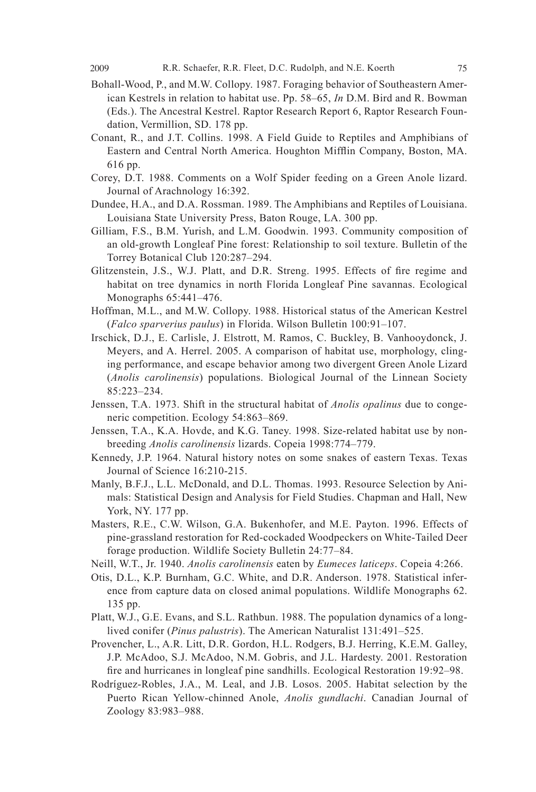- Bohall-Wood, P., and M.W. Collopy. 1987. Foraging behavior of Southeastern American Kestrels in relation to habitat use. Pp. 58–65, *In* D.M. Bird and R. Bowman (Eds.). The Ancestral Kestrel. Raptor Research Report 6, Raptor Research Foundation, Vermillion, SD. 178 pp.
- Conant, R., and J.T. Collins. 1998. A Field Guide to Reptiles and Amphibians of Eastern and Central North America. Houghton Mifflin Company, Boston, MA. 616 pp.
- Corey, D.T. 1988. Comments on a Wolf Spider feeding on a Green Anole lizard. Journal of Arachnology 16:392.
- Dundee, H.A., and D.A. Rossman. 1989. The Amphibians and Reptiles of Louisiana. Louisiana State University Press, Baton Rouge, LA. 300 pp.
- Gilliam, F.S., B.M. Yurish, and L.M. Goodwin. 1993. Community composition of an old-growth Longleaf Pine forest: Relationship to soil texture. Bulletin of the Torrey Botanical Club 120:287–294.
- Glitzenstein, J.S., W.J. Platt, and D.R. Streng. 1995. Effects of fire regime and habitat on tree dynamics in north Florida Longleaf Pine savannas. Ecological Monographs 65:441–476.
- Hoffman, M.L., and M.W. Collopy. 1988. Historical status of the American Kestrel (*Falco sparverius paulus*) in Florida. Wilson Bulletin 100:91–107.
- Irschick, D.J., E. Carlisle, J. Elstrott, M. Ramos, C. Buckley, B. Vanhooydonck, J. Meyers, and A. Herrel. 2005. A comparison of habitat use, morphology, clinging performance, and escape behavior among two divergent Green Anole Lizard (*Anolis carolinensis*) populations. Biological Journal of the Linnean Society 85:223–234.
- Jenssen, T.A. 1973. Shift in the structural habitat of *Anolis opalinus* due to congeneric competition. Ecology 54:863–869.
- Jenssen, T.A., K.A. Hovde, and K.G. Taney. 1998. Size-related habitat use by nonbreeding *Anolis carolinensis* lizards. Copeia 1998:774–779.
- Kennedy, J.P. 1964. Natural history notes on some snakes of eastern Texas. Texas Journal of Science 16:210-215.
- Manly, B.F.J., L.L. McDonald, and D.L. Thomas. 1993. Resource Selection by Animals: Statistical Design and Analysis for Field Studies. Chapman and Hall, New York, NY. 177 pp.
- Masters, R.E., C.W. Wilson, G.A. Bukenhofer, and M.E. Payton. 1996. Effects of pine-grassland restoration for Red-cockaded Woodpeckers on White-Tailed Deer forage production. Wildlife Society Bulletin 24:77–84.
- Neill, W.T., Jr. 1940. *Anolis carolinensis* eaten by *Eumeces laticeps*. Copeia 4:266.
- Otis, D.L., K.P. Burnham, G.C. White, and D.R. Anderson. 1978. Statistical inference from capture data on closed animal populations. Wildlife Monographs 62. 135 pp.
- Platt, W.J., G.E. Evans, and S.L. Rathbun. 1988. The population dynamics of a longlived conifer (*Pinus palustris*). The American Naturalist 131:491–525.
- Provencher, L., A.R. Litt, D.R. Gordon, H.L. Rodgers, B.J. Herring, K.E.M. Galley, J.P. McAdoo, S.J. McAdoo, N.M. Gobris, and J.L. Hardesty. 2001. Restoration fire and hurricanes in longleaf pine sandhills. Ecological Restoration 19:92–98.
- Rodríguez-Robles, J.A., M. Leal, and J.B. Losos. 2005. Habitat selection by the Puerto Rican Yellow-chinned Anole, *Anolis gundlachi*. Canadian Journal of Zoology 83:983–988.